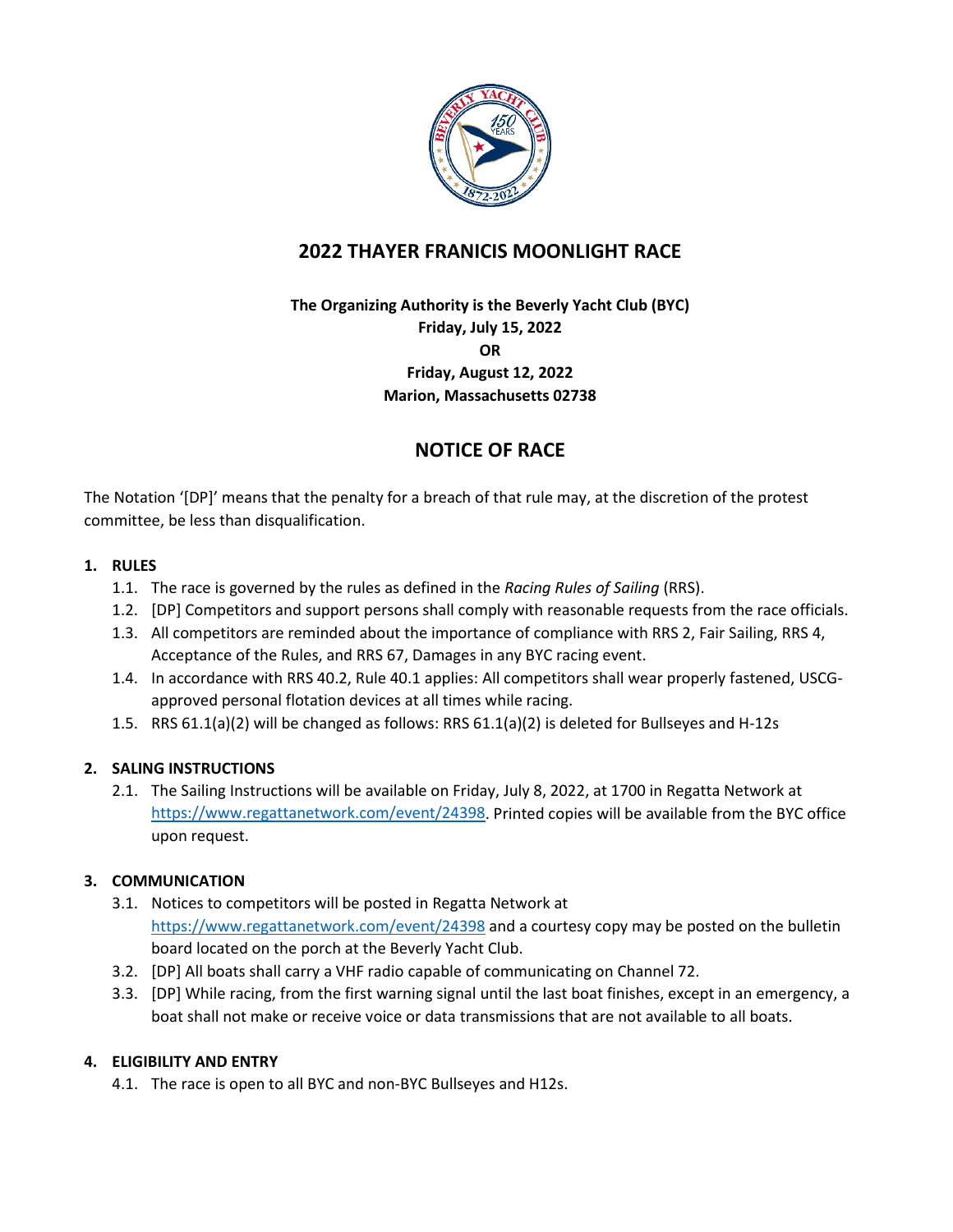

# **2022 THAYER FRANICIS MOONLIGHT RACE**

**The Organizing Authority is the Beverly Yacht Club (BYC) Friday, July 15, 2022 OR Friday, August 12, 2022 Marion, Massachusetts 02738**

# **NOTICE OF RACE**

The Notation '[DP]' means that the penalty for a breach of that rule may, at the discretion of the protest committee, be less than disqualification.

# **1. RULES**

- 1.1. The race is governed by the rules as defined in the *Racing Rules of Sailing* (RRS).
- 1.2. [DP] Competitors and support persons shall comply with reasonable requests from the race officials.
- 1.3. All competitors are reminded about the importance of compliance with RRS 2, Fair Sailing, RRS 4, Acceptance of the Rules, and RRS 67, Damages in any BYC racing event.
- 1.4. In accordance with RRS 40.2, Rule 40.1 applies: All competitors shall wear properly fastened, USCGapproved personal flotation devices at all times while racing.
- 1.5. RRS 61.1(a)(2) will be changed as follows: RRS 61.1(a)(2) is deleted for Bullseyes and H-12s

# **2. SALING INSTRUCTIONS**

2.1. The Sailing Instructions will be available on Friday, July 8, 2022, at 1700 in Regatta Network at [https://www.regattanetwork.com/event/24398.](https://www.regattanetwork.com/event/24398) Printed copies will be available from the BYC office upon request.

# **3. COMMUNICATION**

- 3.1. Notices to competitors will be posted in Regatta Network at <https://www.regattanetwork.com/event/24398> and a courtesy copy may be posted on the bulletin board located on the porch at the Beverly Yacht Club.
- 3.2. [DP] All boats shall carry a VHF radio capable of communicating on Channel 72.
- 3.3. [DP] While racing, from the first warning signal until the last boat finishes, except in an emergency, a boat shall not make or receive voice or data transmissions that are not available to all boats.

# **4. ELIGIBILITY AND ENTRY**

4.1. The race is open to all BYC and non-BYC Bullseyes and H12s.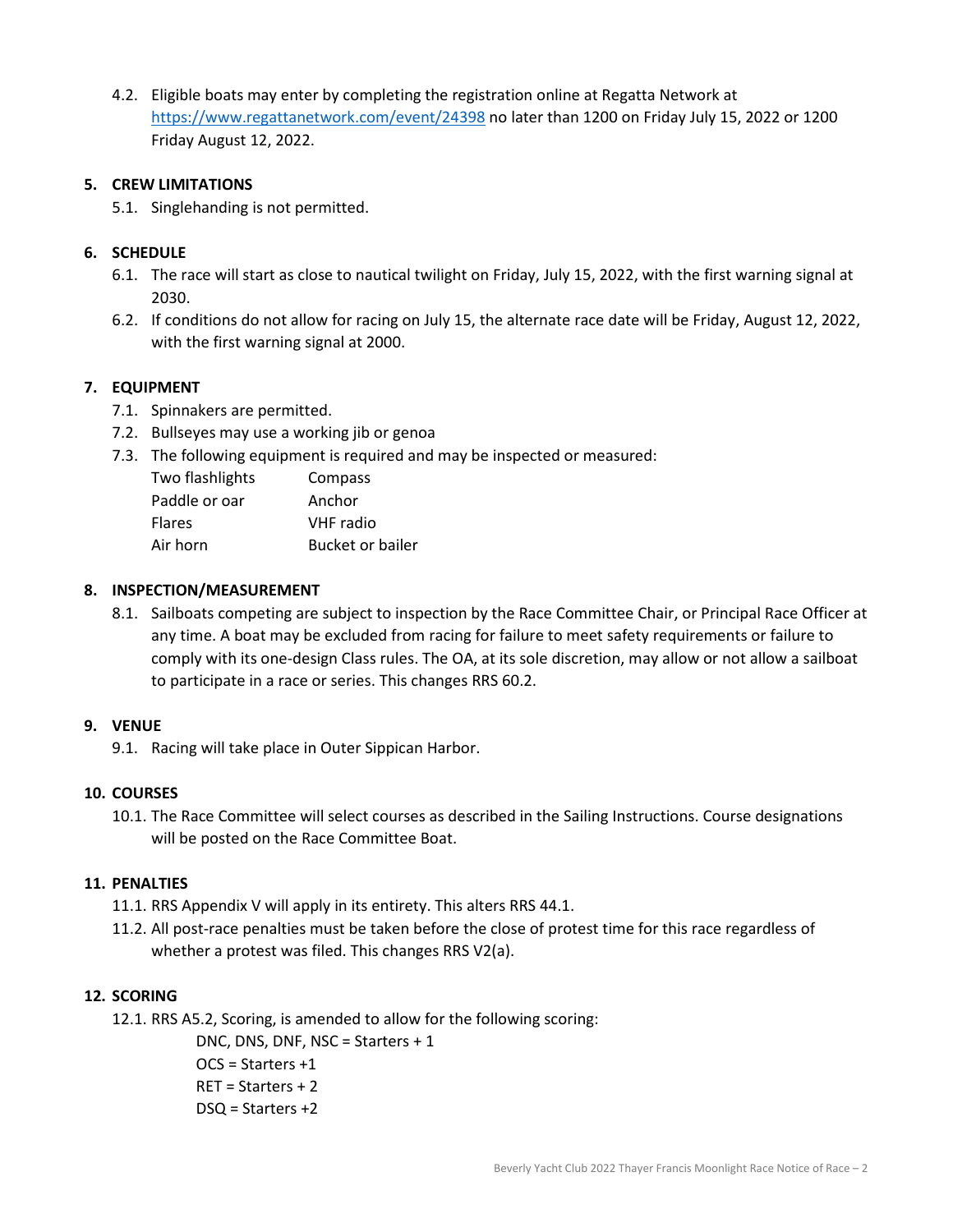4.2. Eligible boats may enter by completing the registration online at Regatta Network at <https://www.regattanetwork.com/event/24398> no later than 1200 on Friday July 15, 2022 or 1200 Friday August 12, 2022.

#### **5. CREW LIMITATIONS**

5.1. Singlehanding is not permitted.

## **6. SCHEDULE**

- 6.1. The race will start as close to nautical twilight on Friday, July 15, 2022, with the first warning signal at 2030.
- 6.2. If conditions do not allow for racing on July 15, the alternate race date will be Friday, August 12, 2022, with the first warning signal at 2000.

## **7. EQUIPMENT**

- 7.1. Spinnakers are permitted.
- 7.2. Bullseyes may use a working jib or genoa
- 7.3. The following equipment is required and may be inspected or measured:

| Two flashlights | Compass          |
|-----------------|------------------|
| Paddle or oar   | Anchor           |
| <b>Flares</b>   | VHF radio        |
| Air horn        | Bucket or bailer |

## **8. INSPECTION/MEASUREMENT**

8.1. Sailboats competing are subject to inspection by the Race Committee Chair, or Principal Race Officer at any time. A boat may be excluded from racing for failure to meet safety requirements or failure to comply with its one-design Class rules. The OA, at its sole discretion, may allow or not allow a sailboat to participate in a race or series. This changes RRS 60.2.

#### **9. VENUE**

9.1. Racing will take place in Outer Sippican Harbor.

#### **10. COURSES**

10.1. The Race Committee will select courses as described in the Sailing Instructions. Course designations will be posted on the Race Committee Boat.

#### **11. PENALTIES**

- 11.1. RRS Appendix V will apply in its entirety. This alters RRS 44.1.
- 11.2. All post-race penalties must be taken before the close of protest time for this race regardless of whether a protest was filed. This changes RRS V2(a).

## **12. SCORING**

12.1. RRS A5.2, Scoring, is amended to allow for the following scoring:

DNC, DNS, DNF, NSC = Starters + 1 OCS = Starters +1 RET = Starters + 2 DSQ = Starters +2